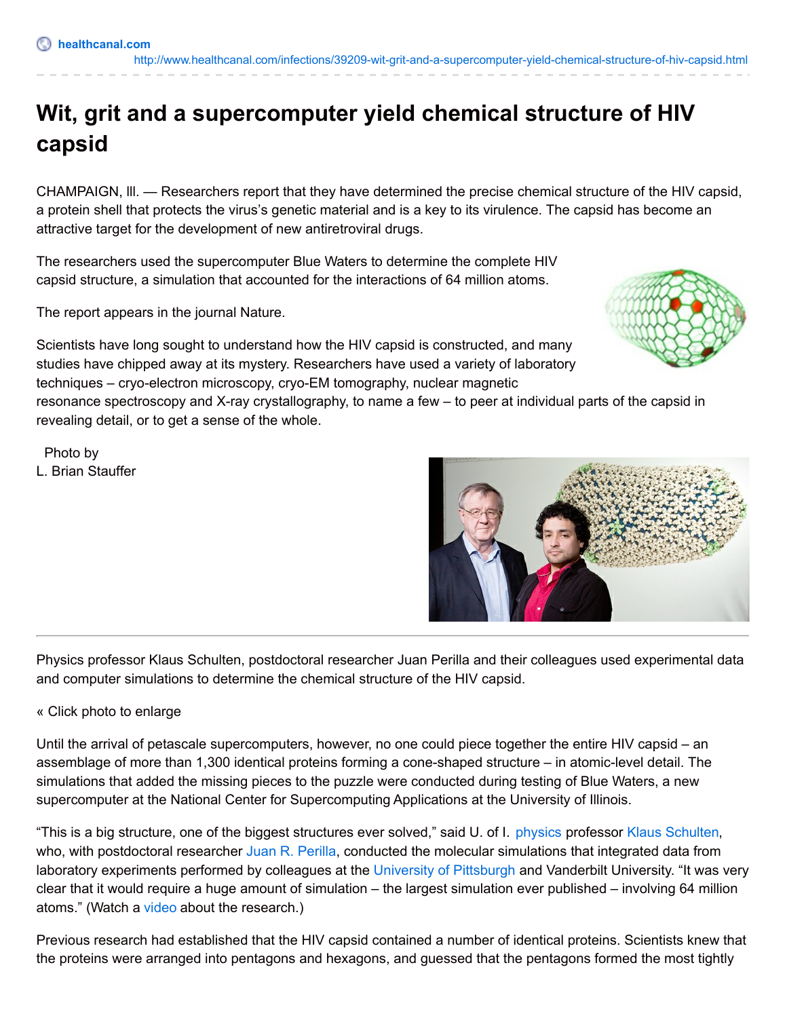CHAMPAIGN, lll. — Researchers report that they have determined the precise chemical structure of the HIV capsid, a protein shell that protects the virus's genetic material and is a key to its virulence. The capsid has become an attractive target for the development of new antiretroviral drugs.

The researchers used the supercomputer Blue Waters to determine the complete HIV capsid structure, a simulation that accounted for the interactions of 64 million atoms.

The report appears in the journal Nature.

Scientists have long sought to understand how the HIV capsid is constructed, and many studies have chipped away at its mystery. Researchers have used a variety of laboratory techniques – cryo-electron microscopy, cryo-EM tomography, nuclear magnetic

resonance spectroscopy and X-ray crystallography, to name a few – to peer at individual parts of the capsid in revealing detail, or to get a sense of the whole.

Photo by L. Brian Stauffer

Physics professor Klaus Schulten, postdoctoral researcher Juan Perilla and their colleagues used experimental data and computer simulations to determine the chemical structure of the HIV capsid.

## « Click photo to enlarge

Until the arrival of petascale supercomputers, however, no one could piece together the entire HIV capsid – an assemblage of more than 1,300 identical proteins forming a cone-shaped structure – in atomic-level detail. The simulations that added the missing pieces to the puzzle were conducted during testing of Blue Waters, a new supercomputer at the National Center for Supercomputing Applications at the University of Illinois.

"This is a big structure, one of the biggest structures ever solved," said U. of I. [physics](http://physics.illinois.edu/) professor Klaus [Schulten](http://physics.illinois.edu/people/profile.asp?schulten), who, with postdoctoral researcher Juan R. [Perilla](http://www.ks.uiuc.edu/~juan/), conducted the molecular simulations that integrated data from laboratory experiments performed by colleagues at the University of [Pittsburgh](http://www.hivppi.pitt.edu/) and Vanderbilt University. "It was very clear that it would require a huge amount of simulation – the largest simulation ever published – involving 64 million atoms." (Watch a [video](http://www.youtube.com/watch?v=pupVZl347H0&feature=em-share_video_user) about the research.)

Previous research had established that the HIV capsid contained a number of identical proteins. Scientists knew that the proteins were arranged into pentagons and hexagons, and guessed that the pentagons formed the most tightly